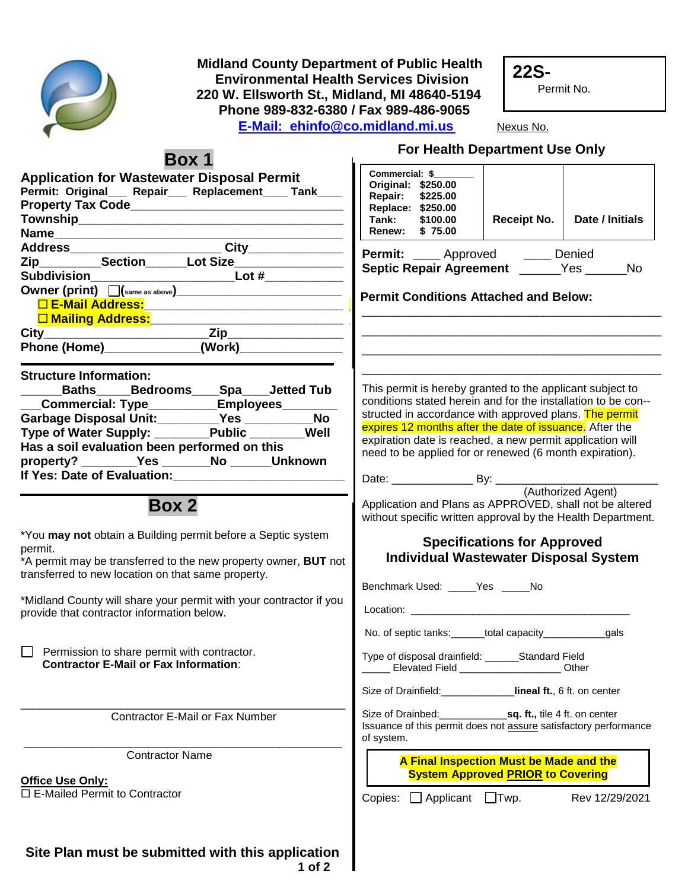

 **Midland County Department of Public Health** Environmental Health Services Division<br>220 W. Ellsworth St., Midland, MI 48640-519<br>Phone 989-832-6380 / Fax 989-486-9065  **220 W. Ellsworth St., Midland, MI 48640-5194 Phone 989-832-6380 / Fax 989-486-9065 E-Mail: [ehinfo@co.midland.mi.us](mailto:ehinfo@co.midland.mi.us)** Nexus No.

**22S-**

Permit No.

|                                                                                                                                                                                                                                                                                                                                                                                                                                     | For Health Department Use Only                                                                                                                                                                                                                                                                                                                                                                                                                                                            |  |  |  |
|-------------------------------------------------------------------------------------------------------------------------------------------------------------------------------------------------------------------------------------------------------------------------------------------------------------------------------------------------------------------------------------------------------------------------------------|-------------------------------------------------------------------------------------------------------------------------------------------------------------------------------------------------------------------------------------------------------------------------------------------------------------------------------------------------------------------------------------------------------------------------------------------------------------------------------------------|--|--|--|
| <b>Box 1</b><br><b>Application for Wastewater Disposal Permit</b><br>Permit: Original___ Repair___ Replacement____ Tank____<br>Subdivision_____________________________Lot #______________<br>Owner (print) $\[\]$ (same as above) $\[\]$<br>Phone (Home) (Work)                                                                                                                                                                    | Commercial: \$<br>Original: \$250.00<br>\$225.00<br>Repair:<br>Replace: \$250.00<br>Date / Initials<br>Tank:<br><b>Receipt No.</b><br>\$100.00<br>Renew: \$75.00<br><b>Permit:</b> ____ Approved _____ Denied<br>Septic Repair Agreement ______Yes _____No<br><b>Permit Conditions Attached and Below:</b>                                                                                                                                                                                |  |  |  |
| <b>Structure Information:</b><br>Baths_____Bedrooms____Spa____Jetted Tub<br>_Commercial: Type___________Employees________<br>Garbage Disposal Unit:________Yes __________No<br>Type of Water Supply: ______Public ______Well<br>Has a soil evaluation been performed on this<br>property? ________Yes _______No ______Unknown                                                                                                       | This permit is hereby granted to the applicant subject to<br>conditions stated herein and for the installation to be con--<br>structed in accordance with approved plans. The permit<br>expires 12 months after the date of issuance. After the<br>expiration date is reached, a new permit application will<br>need to be applied for or renewed (6 month expiration).                                                                                                                   |  |  |  |
| <b>Box 2</b><br>*You may not obtain a Building permit before a Septic system<br>permit.<br>*A permit may be transferred to the new property owner, BUT not<br>transferred to new location on that same property.<br>*Midland County will share your permit with your contractor if you<br>provide that contractor information below.<br>Permission to share permit with contractor.<br><b>Contractor E-Mail or Fax Information:</b> | Application and Plans as APPROVED, shall not be altered<br>without specific written approval by the Health Department.<br><b>Specifications for Approved</b><br><b>Individual Wastewater Disposal System</b><br>Benchmark Used: _____Yes ____No<br>No. of septic tanks:______total capacity___________<br>_gals<br>Type of disposal drainfield: ______Standard Field<br>Elevated Field ______________________ Other<br>Size of Drainfield:<br><b>Calcular Lineal ft., 6 ft. on center</b> |  |  |  |
| Contractor E-Mail or Fax Number                                                                                                                                                                                                                                                                                                                                                                                                     | Issuance of this permit does not assure satisfactory performance<br>of system.                                                                                                                                                                                                                                                                                                                                                                                                            |  |  |  |
| <b>Contractor Name</b><br>Office Use Only:<br>$\Box$ E-Mailed Permit to Contractor                                                                                                                                                                                                                                                                                                                                                  | A Final Inspection Must be Made and the<br><b>System Approved PRIOR to Covering</b><br>Copies:<br>$\Box$ Applicant $\Box$ Twp.<br>Rev 12/29/2021                                                                                                                                                                                                                                                                                                                                          |  |  |  |

**Site Plan must be submitted with this application 1 of 2**